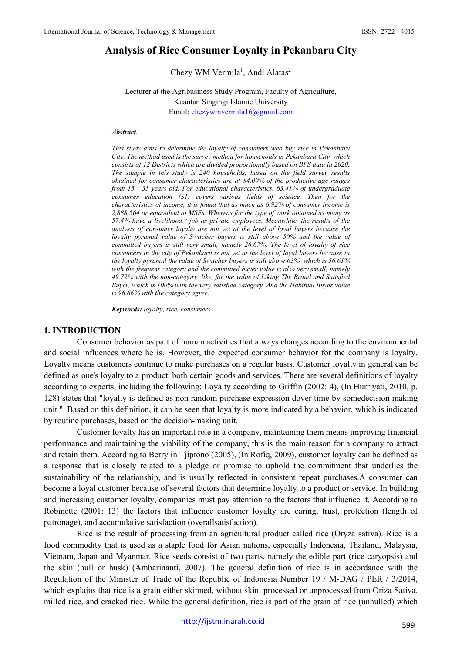# **Analysis of Rice Consumer Loyalty in Pekanbaru City**

Chezy WM Vermila<sup>1</sup>, Andi Alatas<sup>2</sup>

Lecturer at the Agribusiness Study Program, Faculty of Agriculture, Kuantan Singingi Islamic University Email: [chezywmvermila16@gmail.com](mailto:chezywmvermila16@gmail.com)

#### *Abstract.*

*This study aims to determine the loyalty of consumers who buy rice in Pekanbaru City. The method used is the survey method for households in Pekanbaru City, which consists of 12 Districts which are divided proportionally based on BPS data in 2020. The sample in this study is 240 households, based on the field survey results obtained for consumer characteristics are at 84.00% of the productive age ranges from 15 - 35 years old. For educational characteristics, 63.41% of undergraduate consumer education (S1) covers various fields of science. Then for the characteristics of income, it is found that as much as 6.92% of consumer income is 2,888,564 or equivalent to MSEs. Whereas for the type of work obtained as many as 57.4% have a livelihood / job as private employees. Meanwhile, the results of the analysis of consumer loyalty are not yet at the level of loyal buyers because the loyalty pyramid value of Switcher buyers is still above 50% and the value of committed buyers is still very small, namely 26.67%. The level of loyalty of rice consumers in the city of Pekanbaru is not yet at the level of loyal buyers because in the loyalty pyramid the value of Switcher buyers is still above 63%, which is 56.61% with the frequent category and the committed buyer value is also very small, namely 49.72% with the non-category. like, for the value of Liking The Brand and Satisfied Buyer, which is 100% with the very satisfied category. And the Habitual Buyer value is 96.66% with the category agree.*

*Keywords: loyalty, rice, consumers*

### **1. INTRODUCTION**

Consumer behavior as part of human activities that always changes according to the environmental and social influences where he is. However, the expected consumer behavior for the company is loyalty. Loyalty means customers continue to make purchases on a regular basis. Customer loyalty in general can be defined as one's loyalty to a product, both certain goods and services. There are several definitions of loyalty according to experts, including the following: Loyalty according to Griffin (2002: 4), (In Hurriyati, 2010, p. 128) states that "loyalty is defined as non random purchase expression dover time by somedecision making unit ". Based on this definition, it can be seen that loyalty is more indicated by a behavior, which is indicated by routine purchases, based on the decision-making unit.

Customer loyalty has an important role in a company, maintaining them means improving financial performance and maintaining the viability of the company, this is the main reason for a company to attract and retain them. According to Berry in Tjiptono (2005), (In Rofiq, 2009), customer loyalty can be defined as a response that is closely related to a pledge or promise to uphold the commitment that underlies the sustainability of the relationship, and is usually reflected in consistent repeat purchases.A consumer can become a loyal customer because of several factors that determine loyalty to a product or service. In building and increasing customer loyalty, companies must pay attention to the factors that influence it. According to Robinette (2001: 13) the factors that influence customer loyalty are caring, trust, protection (length of patronage), and accumulative satisfaction (overallsatisfaction).

Rice is the result of processing from an agricultural product called rice (Oryza sativa). Rice is a food commodity that is used as a staple food for Asian nations, especially Indonesia, Thailand, Malaysia, Vietnam, Japan and Myanmar. Rice seeds consist of two parts, namely the edible part (rice caryopsis) and the skin (hull or husk) (Ambarinanti, 2007). The general definition of rice is in accordance with the Regulation of the Minister of Trade of the Republic of Indonesia Number 19 / M-DAG / PER / 3/2014, which explains that rice is a grain either skinned, without skin, processed or unprocessed from Oriza Sativa. milled rice, and cracked rice. While the general definition, rice is part of the grain of rice (unhulled) which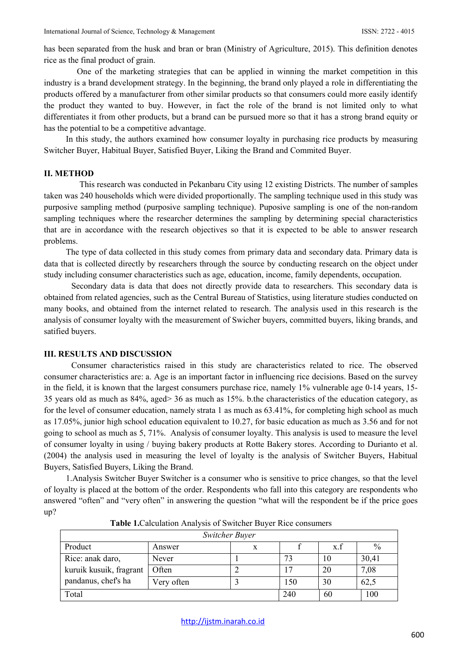has been separated from the husk and bran or bran (Ministry of Agriculture, 2015). This definition denotes rice as the final product of grain.

One of the marketing strategies that can be applied in winning the market competition in this industry is a brand development strategy. In the beginning, the brand only played a role in differentiating the products offered by a manufacturer from other similar products so that consumers could more easily identify the product they wanted to buy. However, in fact the role of the brand is not limited only to what differentiates it from other products, but a brand can be pursued more so that it has a strong brand equity or has the potential to be a competitive advantage.

In this study, the authors examined how consumer loyalty in purchasing rice products by measuring Switcher Buyer, Habitual Buyer, Satisfied Buyer, Liking the Brand and Commited Buyer.

#### **II. METHOD**

This research was conducted in Pekanbaru City using 12 existing Districts. The number of samples taken was 240 households which were divided proportionally. The sampling technique used in this study was purposive sampling method (purposive sampling technique). Puposive sampling is one of the non-random sampling techniques where the researcher determines the sampling by determining special characteristics that are in accordance with the research objectives so that it is expected to be able to answer research problems.

The type of data collected in this study comes from primary data and secondary data. Primary data is data that is collected directly by researchers through the source by conducting research on the object under study including consumer characteristics such as age, education, income, family dependents, occupation.

Secondary data is data that does not directly provide data to researchers. This secondary data is obtained from related agencies, such as the Central Bureau of Statistics, using literature studies conducted on many books, and obtained from the internet related to research. The analysis used in this research is the analysis of consumer loyalty with the measurement of Swicher buyers, committed buyers, liking brands, and satified buyers.

### **III. RESULTS AND DISCUSSION**

Consumer characteristics raised in this study are characteristics related to rice. The observed consumer characteristics are: a. Age is an important factor in influencing rice decisions. Based on the survey in the field, it is known that the largest consumers purchase rice, namely 1% vulnerable age 0-14 years, 15- 35 years old as much as 84%, aged> 36 as much as 15%. b.the characteristics of the education category, as for the level of consumer education, namely strata 1 as much as 63.41%, for completing high school as much as 17.05%, junior high school education equivalent to 10.27, for basic education as much as 3.56 and for not going to school as much as 5, 71%. Analysis of consumer loyalty. This analysis is used to measure the level of consumer loyalty in using / buying bakery products at Rotte Bakery stores. According to Durianto et al. (2004) the analysis used in measuring the level of loyalty is the analysis of Switcher Buyers, Habitual Buyers, Satisfied Buyers, Liking the Brand.

1.Analysis Switcher Buyer Switcher is a consumer who is sensitive to price changes, so that the level of loyalty is placed at the bottom of the order. Respondents who fall into this category are respondents who answered "often" and "very often" in answering the question "what will the respondent be if the price goes up?

| Switcher Buyer          |            |    |     |     |               |  |  |
|-------------------------|------------|----|-----|-----|---------------|--|--|
| Product                 | Answer     | x  |     | x.f | $\frac{0}{0}$ |  |  |
| Rice: anak daro,        | Never      |    | 73  | 10  | 30,41         |  |  |
| kuruik kusuik, fragrant | Often      |    |     | 20  | 7,08          |  |  |
| pandanus, chef's ha     | Very often |    | 150 | 30  | 62,5          |  |  |
| Total                   | 240        | 60 | 100 |     |               |  |  |

**Table 1.**Calculation Analysis of Switcher Buyer Rice consumers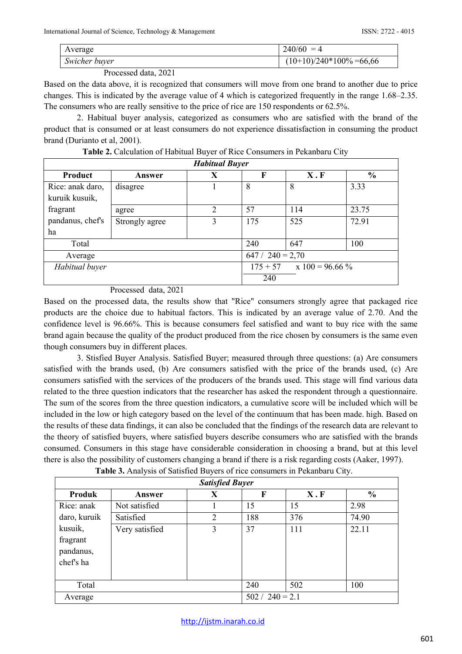International Journal of Science, Technology & Management ISSN: 2722 - 4015

| Average       | 240/60<br>$= 4$            |
|---------------|----------------------------|
| Swicher buyer | $(10+10)/240*100% = 66,66$ |

Processed data, 2021

Based on the data above, it is recognized that consumers will move from one brand to another due to price changes. This is indicated by the average value of 4 which is categorized frequently in the range 1.68–2.35. The consumers who are really sensitive to the price of rice are 150 respondents or 62.5%.

2. Habitual buyer analysis, categorized as consumers who are satisfied with the brand of the product that is consumed or at least consumers do not experience dissatisfaction in consuming the product brand (Durianto et al, 2001).

| <b>Habitual Buyer</b> |                |                             |                    |                              |               |  |  |  |
|-----------------------|----------------|-----------------------------|--------------------|------------------------------|---------------|--|--|--|
| Product               | Answer         | X                           | F                  | X.F                          | $\frac{0}{0}$ |  |  |  |
| Rice: anak daro,      | disagree       |                             | 8                  | 8                            | 3.33          |  |  |  |
| kuruik kusuik,        |                |                             |                    |                              |               |  |  |  |
| fragrant              | agree          | $\mathcal{D}_{\mathcal{L}}$ | 57                 | 114                          | 23.75         |  |  |  |
| pandanus, chef's      | Strongly agree | 3                           | 175                | 525                          | 72.91         |  |  |  |
| ha                    |                |                             |                    |                              |               |  |  |  |
| Total                 |                |                             | 240                | 647                          | 100           |  |  |  |
| Average               |                |                             | $647 / 240 = 2,70$ |                              |               |  |  |  |
| Habitual buyer        |                |                             |                    | $175 + 57$ x $100 = 96.66\%$ |               |  |  |  |
|                       |                |                             | 240                |                              |               |  |  |  |

| Table 2. Calculation of Habitual Buyer of Rice Consumers in Pekanbaru City |  |  |  |
|----------------------------------------------------------------------------|--|--|--|
|                                                                            |  |  |  |

Processed data, 2021

Based on the processed data, the results show that "Rice" consumers strongly agree that packaged rice products are the choice due to habitual factors. This is indicated by an average value of 2.70. And the confidence level is 96.66%. This is because consumers feel satisfied and want to buy rice with the same brand again because the quality of the product produced from the rice chosen by consumers is the same even though consumers buy in different places.

3. Stisfied Buyer Analysis. Satisfied Buyer; measured through three questions: (a) Are consumers satisfied with the brands used, (b) Are consumers satisfied with the price of the brands used, (c) Are consumers satisfied with the services of the producers of the brands used. This stage will find various data related to the three question indicators that the researcher has asked the respondent through a questionnaire. The sum of the scores from the three question indicators, a cumulative score will be included which will be included in the low or high category based on the level of the continuum that has been made. high. Based on the results of these data findings, it can also be concluded that the findings of the research data are relevant to the theory of satisfied buyers, where satisfied buyers describe consumers who are satisfied with the brands consumed. Consumers in this stage have considerable consideration in choosing a brand, but at this level there is also the possibility of customers changing a brand if there is a risk regarding costs (Aaker, 1997).

| <b>Satisfied Buyer</b>                        |                |                |                   |     |               |  |  |  |
|-----------------------------------------------|----------------|----------------|-------------------|-----|---------------|--|--|--|
| Produk                                        | Answer         | X              | F                 | X.F | $\frac{0}{0}$ |  |  |  |
| Rice: anak                                    | Not satisfied  |                | 15                | 15  | 2.98          |  |  |  |
| daro, kuruik                                  | Satisfied      | $\overline{2}$ | 188               | 376 | 74.90         |  |  |  |
| kusuik,<br>fragrant<br>pandanus,<br>chef's ha | Very satisfied | 3              | 37                | 111 | 22.11         |  |  |  |
| Total                                         |                |                | 240               | 502 | 100           |  |  |  |
| Average                                       |                |                | $502 / 240 = 2.1$ |     |               |  |  |  |

**Table 3.** Analysis of Satisfied Buyers of rice consumers in Pekanbaru City.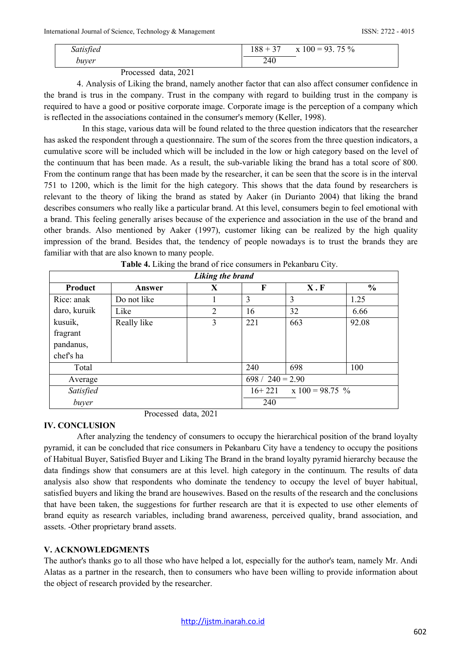| Satisfied | $188 + 37$ | $x 100 = 93.75 \%$ |
|-----------|------------|--------------------|
| buyer     | 240        |                    |

Processed data, 2021

4. Analysis of Liking the brand, namely another factor that can also affect consumer confidence in the brand is trus in the company. Trust in the company with regard to building trust in the company is required to have a good or positive corporate image. Corporate image is the perception of a company which is reflected in the associations contained in the consumer's memory (Keller, 1998).

In this stage, various data will be found related to the three question indicators that the researcher has asked the respondent through a questionnaire. The sum of the scores from the three question indicators, a cumulative score will be included which will be included in the low or high category based on the level of the continuum that has been made. As a result, the sub-variable liking the brand has a total score of 800. From the continum range that has been made by the researcher, it can be seen that the score is in the interval 751 to 1200, which is the limit for the high category. This shows that the data found by researchers is relevant to the theory of liking the brand as stated by Aaker (in Durianto 2004) that liking the brand describes consumers who really like a particular brand. At this level, consumers begin to feel emotional with a brand. This feeling generally arises because of the experience and association in the use of the brand and other brands. Also mentioned by Aaker (1997), customer liking can be realized by the high quality impression of the brand. Besides that, the tendency of people nowadays is to trust the brands they are familiar with that are also known to many people.

| Liking the brand   |             |                |                    |                                |               |  |  |
|--------------------|-------------|----------------|--------------------|--------------------------------|---------------|--|--|
| Product            | Answer      | X              | F                  | X.F                            | $\frac{0}{0}$ |  |  |
| Rice: anak         | Do not like |                | 3                  | 3                              | 1.25          |  |  |
| daro, kuruik       | Like        | $\overline{2}$ | 16                 | 32                             | 6.66          |  |  |
| kusuik,            | Really like | 3              | 221                | 663                            | 92.08         |  |  |
| fragrant           |             |                |                    |                                |               |  |  |
| pandanus,          |             |                |                    |                                |               |  |  |
| chef's ha          |             |                |                    |                                |               |  |  |
| Total              |             |                | 240                | 698                            | 100           |  |  |
| Average            |             |                | $698 / 240 = 2.90$ |                                |               |  |  |
| Satisfied<br>buyer |             |                |                    | $16+221 \times 100 = 98.75 \%$ |               |  |  |
|                    |             |                | 240                |                                |               |  |  |

|  |  |  |  |  |  |  | Table 4. Liking the brand of rice consumers in Pekanbaru City. |  |
|--|--|--|--|--|--|--|----------------------------------------------------------------|--|
|--|--|--|--|--|--|--|----------------------------------------------------------------|--|

Processed data, 2021

## **IV. CONCLUSION**

After analyzing the tendency of consumers to occupy the hierarchical position of the brand loyalty pyramid, it can be concluded that rice consumers in Pekanbaru City have a tendency to occupy the positions of Habitual Buyer, Satisfied Buyer and Liking The Brand in the brand loyalty pyramid hierarchy because the data findings show that consumers are at this level. high category in the continuum. The results of data analysis also show that respondents who dominate the tendency to occupy the level of buyer habitual, satisfied buyers and liking the brand are housewives. Based on the results of the research and the conclusions that have been taken, the suggestions for further research are that it is expected to use other elements of brand equity as research variables, including brand awareness, perceived quality, brand association, and assets. -Other proprietary brand assets.

## **V. ACKNOWLEDGMENTS**

The author's thanks go to all those who have helped a lot, especially for the author's team, namely Mr. Andi Alatas as a partner in the research, then to consumers who have been willing to provide information about the object of research provided by the researcher.